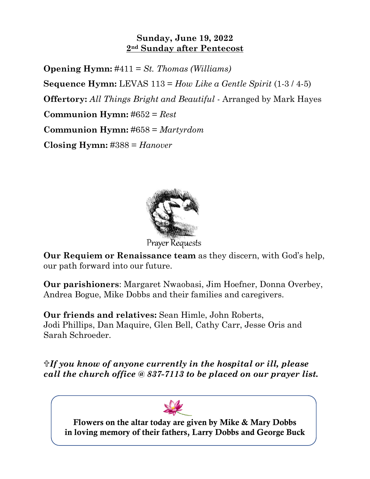## **Sunday, June 19, 2022 2nd Sunday after Pentecost**

**Opening Hymn:** #411 = *St. Thomas (Williams)* **Sequence Hymn:** LEVAS 113 = *How Like a Gentle Spirit* (1-3 / 4-5) **Offertory:** *All Things Bright and Beautiful* - Arranged by Mark Hayes **Communion Hymn:** #652 = *Rest* **Communion Hymn:** #658 = *Martyrdom* **Closing Hymn:** #388 = *Hanover*



**Our Requiem or Renaissance team** as they discern, with God's help, our path forward into our future.

**Our parishioners**: Margaret Nwaobasi, Jim Hoefner, Donna Overbey, Andrea Bogue, Mike Dobbs and their families and caregivers.

**Our friends and relatives:** Sean Himle, John Roberts, Jodi Phillips, Dan Maquire, Glen Bell, Cathy Carr, Jesse Oris and Sarah Schroeder.

*If you know of anyone currently in the hospital or ill, please call the church office @ 837-7113 to be placed on our prayer list.*

**Flowers on the altar today are given by Mike & Mary Dobbs in loving memory of their fathers, Larry Dobbs and George Buck**